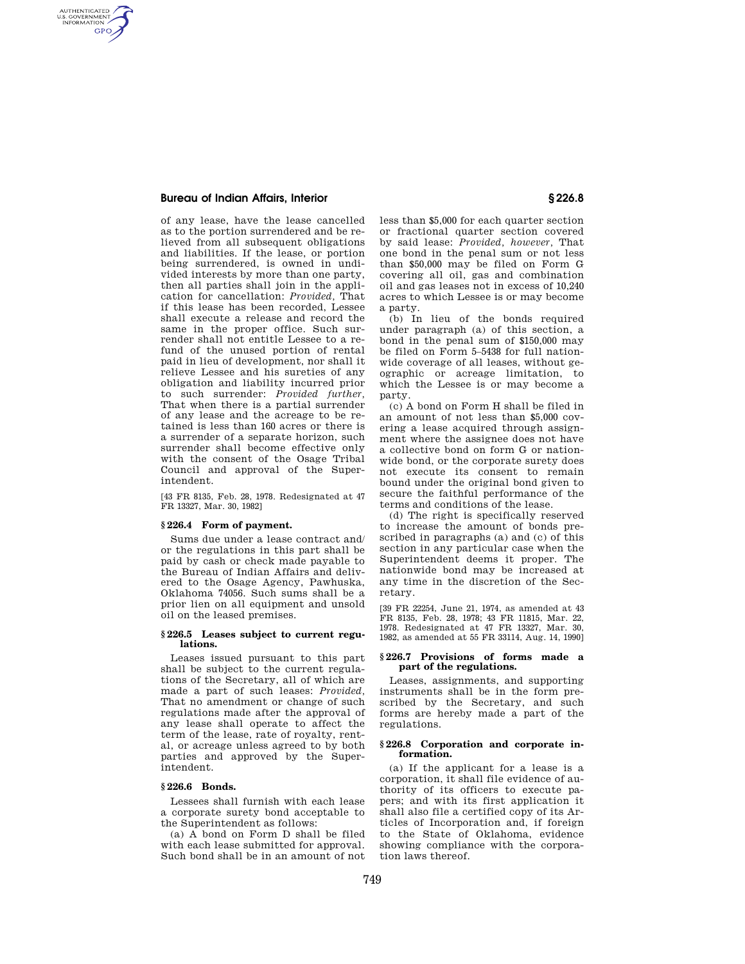## **Bureau of Indian Affairs, Interior § 226.8**

AUTHENTICATED<br>U.S. GOVERNMENT<br>INFORMATION **GPO** 

> of any lease, have the lease cancelled as to the portion surrendered and be relieved from all subsequent obligations and liabilities. If the lease, or portion being surrendered, is owned in undivided interests by more than one party, then all parties shall join in the application for cancellation: *Provided,* That if this lease has been recorded, Lessee shall execute a release and record the same in the proper office. Such surrender shall not entitle Lessee to a refund of the unused portion of rental paid in lieu of development, nor shall it relieve Lessee and his sureties of any obligation and liability incurred prior to such surrender: *Provided further,*  That when there is a partial surrender of any lease and the acreage to be retained is less than 160 acres or there is a surrender of a separate horizon, such surrender shall become effective only with the consent of the Osage Tribal Council and approval of the Superintendent.

[43 FR 8135, Feb. 28, 1978. Redesignated at 47 FR 13327, Mar. 30, 1982]

# **§ 226.4 Form of payment.**

Sums due under a lease contract and/ or the regulations in this part shall be paid by cash or check made payable to the Bureau of Indian Affairs and delivered to the Osage Agency, Pawhuska, Oklahoma 74056. Such sums shall be a prior lien on all equipment and unsold oil on the leased premises.

### **§ 226.5 Leases subject to current regulations.**

Leases issued pursuant to this part shall be subject to the current regulations of the Secretary, all of which are made a part of such leases: *Provided,*  That no amendment or change of such regulations made after the approval of any lease shall operate to affect the term of the lease, rate of royalty, rental, or acreage unless agreed to by both parties and approved by the Superintendent.

### **§ 226.6 Bonds.**

Lessees shall furnish with each lease a corporate surety bond acceptable to the Superintendent as follows:

(a) A bond on Form D shall be filed with each lease submitted for approval. Such bond shall be in an amount of not less than \$5,000 for each quarter section or fractional quarter section covered by said lease: *Provided, however,* That one bond in the penal sum or not less than \$50,000 may be filed on Form G covering all oil, gas and combination oil and gas leases not in excess of 10,240 acres to which Lessee is or may become a party.

(b) In lieu of the bonds required under paragraph (a) of this section, a bond in the penal sum of \$150,000 may be filed on Form 5–5438 for full nationwide coverage of all leases, without geographic or acreage limitation, to which the Lessee is or may become a party.

(c) A bond on Form H shall be filed in an amount of not less than \$5,000 covering a lease acquired through assignment where the assignee does not have a collective bond on form G or nationwide bond, or the corporate surety does not execute its consent to remain bound under the original bond given to secure the faithful performance of the terms and conditions of the lease.

(d) The right is specifically reserved to increase the amount of bonds prescribed in paragraphs (a) and (c) of this section in any particular case when the Superintendent deems it proper. The nationwide bond may be increased at any time in the discretion of the Secretary.

[39 FR 22254, June 21, 1974, as amended at 43 FR 8135, Feb. 28, 1978; 43 FR 11815, Mar. 22, 1978. Redesignated at 47 FR 13327, Mar. 30, 1982, as amended at 55 FR 33114, Aug. 14, 1990]

## **§ 226.7 Provisions of forms made a part of the regulations.**

Leases, assignments, and supporting instruments shall be in the form prescribed by the Secretary, and such forms are hereby made a part of the regulations.

### **§ 226.8 Corporation and corporate information.**

(a) If the applicant for a lease is a corporation, it shall file evidence of authority of its officers to execute papers; and with its first application it shall also file a certified copy of its Articles of Incorporation and, if foreign to the State of Oklahoma, evidence showing compliance with the corporation laws thereof.